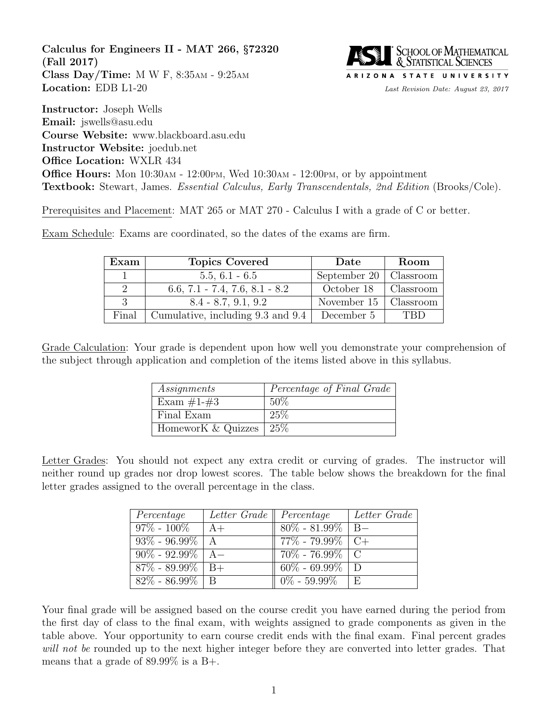Calculus for Engineers II - MAT 266, §72320 (Fall 2017) Class Day/Time: M W F, 8:35AM - 9:25AM Location: EDB L1-20 Last Revision Date: August 23, 2017



Instructor: Joseph Wells Email: jswells@asu.edu Course Website: www.blackboard.asu.edu Instructor Website: joedub.net Office Location: WXLR 434 **Office Hours:** Mon  $10:30$ AM -  $12:00$ PM, Wed  $10:30$ AM -  $12:00$ PM, or by appointment Textbook: Stewart, James. Essential Calculus, Early Transcendentals, 2nd Edition (Brooks/Cole).

Prerequisites and Placement: MAT 265 or MAT 270 - Calculus I with a grade of C or better.

Exam Schedule: Exams are coordinated, so the dates of the exams are firm.

| Exam           | <b>Topics Covered</b>             | Date         | Room      |
|----------------|-----------------------------------|--------------|-----------|
|                | $5.5, 6.1 - 6.5$                  | September 20 | Classroom |
| $\overline{2}$ | $6.6, 7.1 - 7.4, 7.6, 8.1 - 8.2$  | October 18   | Classroom |
| 3              | $8.4 - 8.7, 9.1, 9.2$             | November 15  | Classroom |
| Final          | Cumulative, including 9.3 and 9.4 | December 5   | TRD       |

Grade Calculation: Your grade is dependent upon how well you demonstrate your comprehension of the subject through application and completion of the items listed above in this syllabus.

| Assignments        | Percentage of Final Grade |
|--------------------|---------------------------|
| Exam $\#1-\#3$     | 50%                       |
| Final Exam         | 25%                       |
| HomeworK & Quizzes | $25\%$                    |

Letter Grades: You should not expect any extra credit or curving of grades. The instructor will neither round up grades nor drop lowest scores. The table below shows the breakdown for the final letter grades assigned to the overall percentage in the class.

| Percentage            | Letter Grade    Percentage |                           | Letter Grade |
|-----------------------|----------------------------|---------------------------|--------------|
| $97\% - 100\%$        | $A+$                       | $80\%$ - 81.99%   B-      |              |
| $93\%$ - 96.99%   A   |                            | $77\%$ - 79.99% $\mid C+$ |              |
| $90\%$ - 92.99%   A-  |                            | $70\%$ - 76.99%   C       |              |
| $87\% - 89.99\%$   B+ |                            | $60\% - 69.99\%$ D        |              |
| $82\% - 86.99\%$   B  |                            | $0\% - 59.99\%$           | E            |

Your final grade will be assigned based on the course credit you have earned during the period from the first day of class to the final exam, with weights assigned to grade components as given in the table above. Your opportunity to earn course credit ends with the final exam. Final percent grades will not be rounded up to the next higher integer before they are converted into letter grades. That means that a grade of 89.99% is a B+.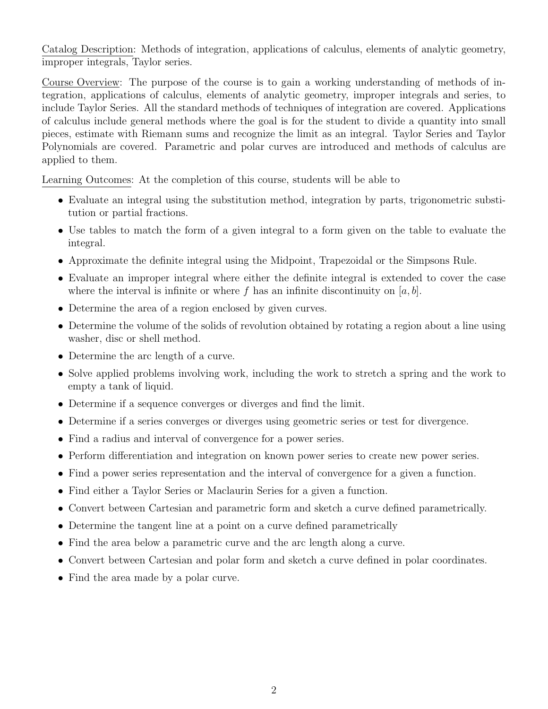Catalog Description: Methods of integration, applications of calculus, elements of analytic geometry, improper integrals, Taylor series.

Course Overview: The purpose of the course is to gain a working understanding of methods of integration, applications of calculus, elements of analytic geometry, improper integrals and series, to include Taylor Series. All the standard methods of techniques of integration are covered. Applications of calculus include general methods where the goal is for the student to divide a quantity into small pieces, estimate with Riemann sums and recognize the limit as an integral. Taylor Series and Taylor Polynomials are covered. Parametric and polar curves are introduced and methods of calculus are applied to them.

Learning Outcomes: At the completion of this course, students will be able to

- Evaluate an integral using the substitution method, integration by parts, trigonometric substitution or partial fractions.
- Use tables to match the form of a given integral to a form given on the table to evaluate the integral.
- Approximate the definite integral using the Midpoint, Trapezoidal or the Simpsons Rule.
- Evaluate an improper integral where either the definite integral is extended to cover the case where the interval is infinite or where f has an infinite discontinuity on  $[a, b]$ .
- Determine the area of a region enclosed by given curves.
- Determine the volume of the solids of revolution obtained by rotating a region about a line using washer, disc or shell method.
- Determine the arc length of a curve.
- Solve applied problems involving work, including the work to stretch a spring and the work to empty a tank of liquid.
- Determine if a sequence converges or diverges and find the limit.
- Determine if a series converges or diverges using geometric series or test for divergence.
- Find a radius and interval of convergence for a power series.
- Perform differentiation and integration on known power series to create new power series.
- Find a power series representation and the interval of convergence for a given a function.
- Find either a Taylor Series or Maclaurin Series for a given a function.
- Convert between Cartesian and parametric form and sketch a curve defined parametrically.
- Determine the tangent line at a point on a curve defined parametrically
- Find the area below a parametric curve and the arc length along a curve.
- Convert between Cartesian and polar form and sketch a curve defined in polar coordinates.
- Find the area made by a polar curve.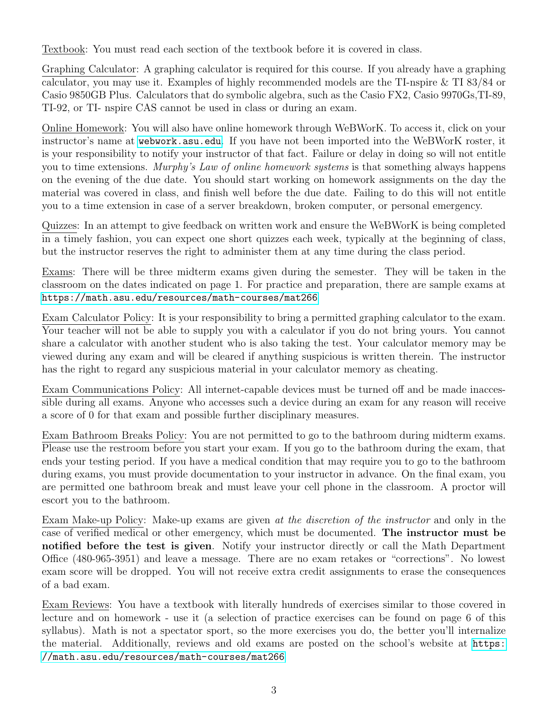Textbook: You must read each section of the textbook before it is covered in class.

Graphing Calculator: A graphing calculator is required for this course. If you already have a graphing calculator, you may use it. Examples of highly recommended models are the TI-nspire & TI 83/84 or Casio 9850GB Plus. Calculators that do symbolic algebra, such as the Casio FX2, Casio 9970Gs,TI-89, TI-92, or TI- nspire CAS cannot be used in class or during an exam.

Online Homework: You will also have online homework through WeBWorK. To access it, click on your instructor's name at <webwork.asu.edu>. If you have not been imported into the WeBWorK roster, it is your responsibility to notify your instructor of that fact. Failure or delay in doing so will not entitle you to time extensions. Murphy's Law of online homework systems is that something always happens on the evening of the due date. You should start working on homework assignments on the day the material was covered in class, and finish well before the due date. Failing to do this will not entitle you to a time extension in case of a server breakdown, broken computer, or personal emergency.

Quizzes: In an attempt to give feedback on written work and ensure the WeBWorK is being completed in a timely fashion, you can expect one short quizzes each week, typically at the beginning of class, but the instructor reserves the right to administer them at any time during the class period.

Exams: There will be three midterm exams given during the semester. They will be taken in the classroom on the dates indicated on page 1. For practice and preparation, there are sample exams at <https://math.asu.edu/resources/math-courses/mat266>

Exam Calculator Policy: It is your responsibility to bring a permitted graphing calculator to the exam. Your teacher will not be able to supply you with a calculator if you do not bring yours. You cannot share a calculator with another student who is also taking the test. Your calculator memory may be viewed during any exam and will be cleared if anything suspicious is written therein. The instructor has the right to regard any suspicious material in your calculator memory as cheating.

Exam Communications Policy: All internet-capable devices must be turned off and be made inaccessible during all exams. Anyone who accesses such a device during an exam for any reason will receive a score of 0 for that exam and possible further disciplinary measures.

Exam Bathroom Breaks Policy: You are not permitted to go to the bathroom during midterm exams. Please use the restroom before you start your exam. If you go to the bathroom during the exam, that ends your testing period. If you have a medical condition that may require you to go to the bathroom during exams, you must provide documentation to your instructor in advance. On the final exam, you are permitted one bathroom break and must leave your cell phone in the classroom. A proctor will escort you to the bathroom.

Exam Make-up Policy: Make-up exams are given at the discretion of the instructor and only in the case of verified medical or other emergency, which must be documented. The instructor must be notified before the test is given. Notify your instructor directly or call the Math Department Office (480-965-3951) and leave a message. There are no exam retakes or "corrections". No lowest exam score will be dropped. You will not receive extra credit assignments to erase the consequences of a bad exam.

Exam Reviews: You have a textbook with literally hundreds of exercises similar to those covered in lecture and on homework - use it (a selection of practice exercises can be found on page 6 of this syllabus). Math is not a spectator sport, so the more exercises you do, the better you'll internalize the material. Additionally, reviews and old exams are posted on the school's website at [https:](https://math.asu.edu/resources/math-courses/mat266) [//math.asu.edu/resources/math-courses/mat266](https://math.asu.edu/resources/math-courses/mat266)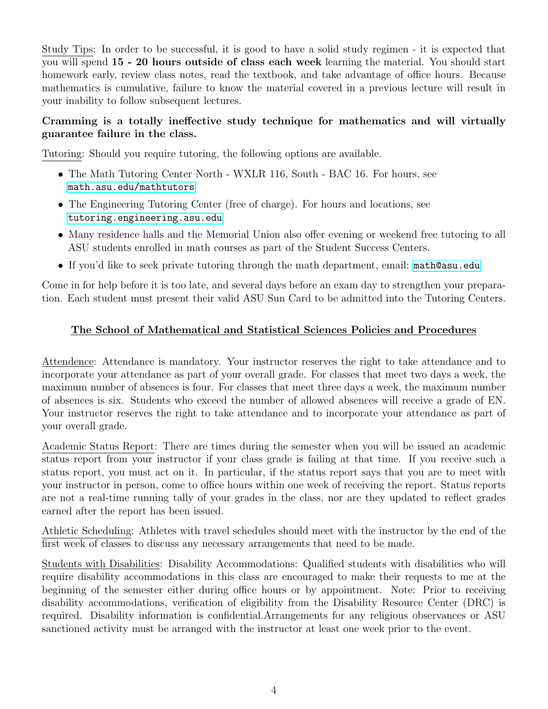Study Tips: In order to be successful, it is good to have a solid study regimen - it is expected that you will spend 15 - 20 hours outside of class each week learning the material. You should start homework early, review class notes, read the textbook, and take advantage of office hours. Because mathematics is cumulative, failure to know the material covered in a previous lecture will result in your inability to follow subsequent lectures.

## Cramming is a totally ineffective study technique for mathematics and will virtually guarantee failure in the class.

Tutoring: Should you require tutoring, the following options are available.

- The Math Tutoring Center North WXLR 116, South BAC 16. For hours, see <math.asu.edu/mathtutors>
- The Engineering Tutoring Center (free of charge). For hours and locations, see <tutoring.engineering.asu.edu>
- Many residence halls and the Memorial Union also offer evening or weekend free tutoring to all ASU students enrolled in math courses as part of the Student Success Centers.
- If you'd like to seek private tutoring through the math department, email: <math@asu.edu>

Come in for help before it is too late, and several days before an exam day to strengthen your preparation. Each student must present their valid ASU Sun Card to be admitted into the Tutoring Centers.

## The School of Mathematical and Statistical Sciences Policies and Procedures

Attendence: Attendance is mandatory. Your instructor reserves the right to take attendance and to incorporate your attendance as part of your overall grade. For classes that meet two days a week, the maximum number of absences is four. For classes that meet three days a week, the maximum number of absences is six. Students who exceed the number of allowed absences will receive a grade of EN. Your instructor reserves the right to take attendance and to incorporate your attendance as part of your overall grade.

Academic Status Report: There are times during the semester when you will be issued an academic status report from your instructor if your class grade is failing at that time. If you receive such a status report, you must act on it. In particular, if the status report says that you are to meet with your instructor in person, come to office hours within one week of receiving the report. Status reports are not a real-time running tally of your grades in the class, nor are they updated to reflect grades earned after the report has been issued.

Athletic Scheduling: Athletes with travel schedules should meet with the instructor by the end of the first week of classes to discuss any necessary arrangements that need to be made.

Students with Disabilities: Disability Accommodations: Qualified students with disabilities who will require disability accommodations in this class are encouraged to make their requests to me at the beginning of the semester either during office hours or by appointment. Note: Prior to receiving disability accommodations, verification of eligibility from the Disability Resource Center (DRC) is required. Disability information is confidential.Arrangements for any religious observances or ASU sanctioned activity must be arranged with the instructor at least one week prior to the event.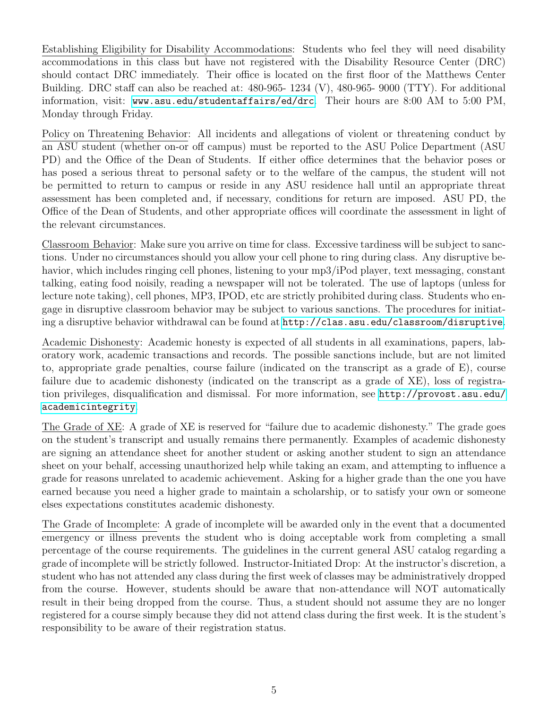Establishing Eligibility for Disability Accommodations: Students who feel they will need disability accommodations in this class but have not registered with the Disability Resource Center (DRC) should contact DRC immediately. Their office is located on the first floor of the Matthews Center Building. DRC staff can also be reached at: 480-965- 1234 (V), 480-965- 9000 (TTY). For additional information, visit: <www.asu.edu/studentaffairs/ed/drc>. Their hours are 8:00 AM to 5:00 PM, Monday through Friday.

Policy on Threatening Behavior: All incidents and allegations of violent or threatening conduct by an ASU student (whether on-or off campus) must be reported to the ASU Police Department (ASU PD) and the Office of the Dean of Students. If either office determines that the behavior poses or has posed a serious threat to personal safety or to the welfare of the campus, the student will not be permitted to return to campus or reside in any ASU residence hall until an appropriate threat assessment has been completed and, if necessary, conditions for return are imposed. ASU PD, the Office of the Dean of Students, and other appropriate offices will coordinate the assessment in light of the relevant circumstances.

Classroom Behavior: Make sure you arrive on time for class. Excessive tardiness will be subject to sanctions. Under no circumstances should you allow your cell phone to ring during class. Any disruptive behavior, which includes ringing cell phones, listening to your mp3/iPod player, text messaging, constant talking, eating food noisily, reading a newspaper will not be tolerated. The use of laptops (unless for lecture note taking), cell phones, MP3, IPOD, etc are strictly prohibited during class. Students who engage in disruptive classroom behavior may be subject to various sanctions. The procedures for initiating a disruptive behavior withdrawal can be found at <http://clas.asu.edu/classroom/disruptive>.

Academic Dishonesty: Academic honesty is expected of all students in all examinations, papers, laboratory work, academic transactions and records. The possible sanctions include, but are not limited to, appropriate grade penalties, course failure (indicated on the transcript as a grade of E), course failure due to academic dishonesty (indicated on the transcript as a grade of XE), loss of registration privileges, disqualification and dismissal. For more information, see [http://provost.asu.edu/](http://provost.asu.edu/academicintegrity) [academicintegrity](http://provost.asu.edu/academicintegrity).

The Grade of XE: A grade of XE is reserved for "failure due to academic dishonesty." The grade goes on the student's transcript and usually remains there permanently. Examples of academic dishonesty are signing an attendance sheet for another student or asking another student to sign an attendance sheet on your behalf, accessing unauthorized help while taking an exam, and attempting to influence a grade for reasons unrelated to academic achievement. Asking for a higher grade than the one you have earned because you need a higher grade to maintain a scholarship, or to satisfy your own or someone elses expectations constitutes academic dishonesty.

The Grade of Incomplete: A grade of incomplete will be awarded only in the event that a documented emergency or illness prevents the student who is doing acceptable work from completing a small percentage of the course requirements. The guidelines in the current general ASU catalog regarding a grade of incomplete will be strictly followed. Instructor-Initiated Drop: At the instructor's discretion, a student who has not attended any class during the first week of classes may be administratively dropped from the course. However, students should be aware that non-attendance will NOT automatically result in their being dropped from the course. Thus, a student should not assume they are no longer registered for a course simply because they did not attend class during the first week. It is the student's responsibility to be aware of their registration status.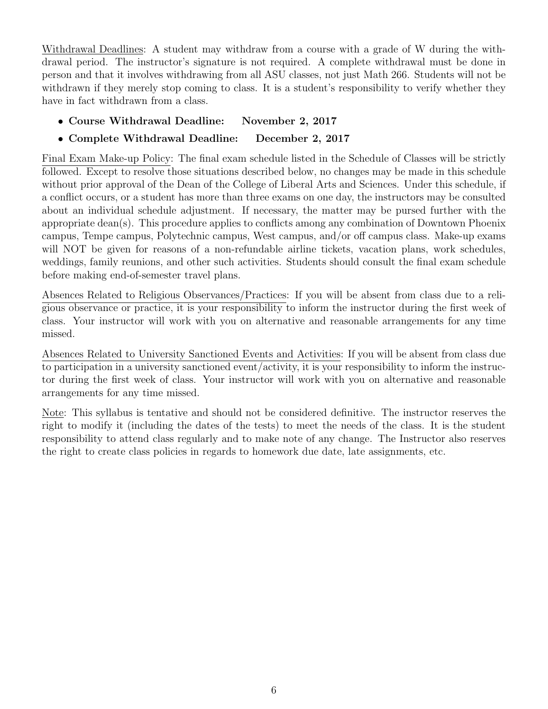Withdrawal Deadlines: A student may withdraw from a course with a grade of W during the withdrawal period. The instructor's signature is not required. A complete withdrawal must be done in person and that it involves withdrawing from all ASU classes, not just Math 266. Students will not be withdrawn if they merely stop coming to class. It is a student's responsibility to verify whether they have in fact withdrawn from a class.

- Course Withdrawal Deadline: November 2, 2017
- Complete Withdrawal Deadline: December 2, 2017

Final Exam Make-up Policy: The final exam schedule listed in the Schedule of Classes will be strictly followed. Except to resolve those situations described below, no changes may be made in this schedule without prior approval of the Dean of the College of Liberal Arts and Sciences. Under this schedule, if a conflict occurs, or a student has more than three exams on one day, the instructors may be consulted about an individual schedule adjustment. If necessary, the matter may be pursed further with the appropriate dean(s). This procedure applies to conflicts among any combination of Downtown Phoenix campus, Tempe campus, Polytechnic campus, West campus, and/or off campus class. Make-up exams will NOT be given for reasons of a non-refundable airline tickets, vacation plans, work schedules, weddings, family reunions, and other such activities. Students should consult the final exam schedule before making end-of-semester travel plans.

Absences Related to Religious Observances/Practices: If you will be absent from class due to a religious observance or practice, it is your responsibility to inform the instructor during the first week of class. Your instructor will work with you on alternative and reasonable arrangements for any time missed.

Absences Related to University Sanctioned Events and Activities: If you will be absent from class due to participation in a university sanctioned event/activity, it is your responsibility to inform the instructor during the first week of class. Your instructor will work with you on alternative and reasonable arrangements for any time missed.

Note: This syllabus is tentative and should not be considered definitive. The instructor reserves the right to modify it (including the dates of the tests) to meet the needs of the class. It is the student responsibility to attend class regularly and to make note of any change. The Instructor also reserves the right to create class policies in regards to homework due date, late assignments, etc.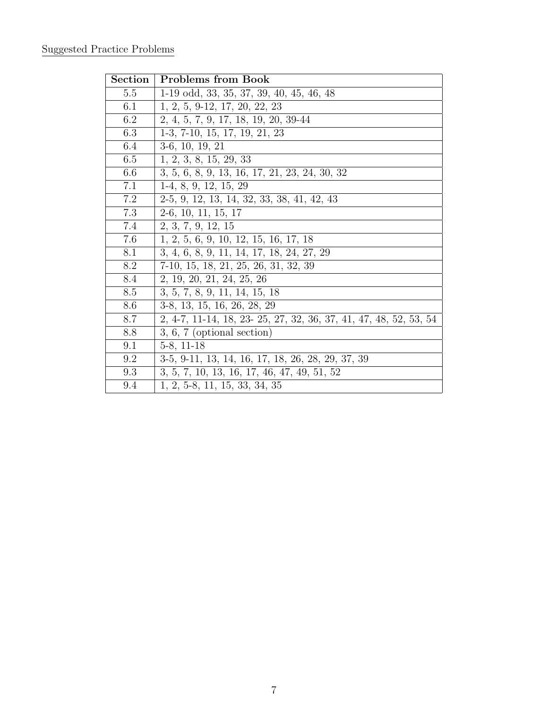## Suggested Practice Problems

| <b>Section</b> | <b>Problems from Book</b>                                         |
|----------------|-------------------------------------------------------------------|
| $5.5\,$        | $1-19$ odd, 33, 35, 37, 39, 40, 45, 46, 48                        |
| 6.1            | $1, 2, 5, 9-12, 17, 20, 22, 23$                                   |
| 6.2            | 2, 4, 5, 7, 9, 17, 18, 19, 20, 39-44                              |
| 6.3            | $1-3, 7-10, 15, 17, 19, 21, 23$                                   |
| 6.4            | $3-6, 10, 19, 21$                                                 |
| 6.5            | 1, 2, 3, 8, 15, 29, 33                                            |
| 6.6            | 3, 5, 6, 8, 9, 13, 16, 17, 21, 23, 24, 30, 32                     |
| 7.1            | $1-4, 8, 9, 12, 15, 29$                                           |
| 7.2            | $2-5, 9, 12, 13, 14, 32, 33, 38, 41, 42, 43$                      |
| 7.3            | $2-6, 10, 11, 15, 17$                                             |
| 7.4            | 2, 3, 7, 9, 12, 15                                                |
| 7.6            | 1, 2, 5, 6, 9, 10, 12, 15, 16, 17, 18                             |
| 8.1            | 3, 4, 6, 8, 9, 11, 14, 17, 18, 24, 27, 29                         |
| 8.2            | $7-10, 15, 18, 21, 25, 26, 31, 32, 39$                            |
| 8.4            | 2, 19, 20, 21, 24, 25, 26                                         |
| 8.5            | 3, 5, 7, 8, 9, 11, 14, 15, 18                                     |
| 8.6            | 3-8, 13, 15, 16, 26, 28, 29                                       |
| 8.7            | 2, 4-7, 11-14, 18, 23- 25, 27, 32, 36, 37, 41, 47, 48, 52, 53, 54 |
| 8.8            | $3, 6, 7$ (optional section)                                      |
| 9.1            | $5-8$ , 11-18                                                     |
| 9.2            | 3-5, 9-11, 13, 14, 16, 17, 18, 26, 28, 29, 37, 39                 |
| 9.3            | 3, 5, 7, 10, 13, 16, 17, 46, 47, 49, 51, 52                       |
| 9.4            | $1, 2, 5-8, 11, 15, 33, 34, 35$                                   |